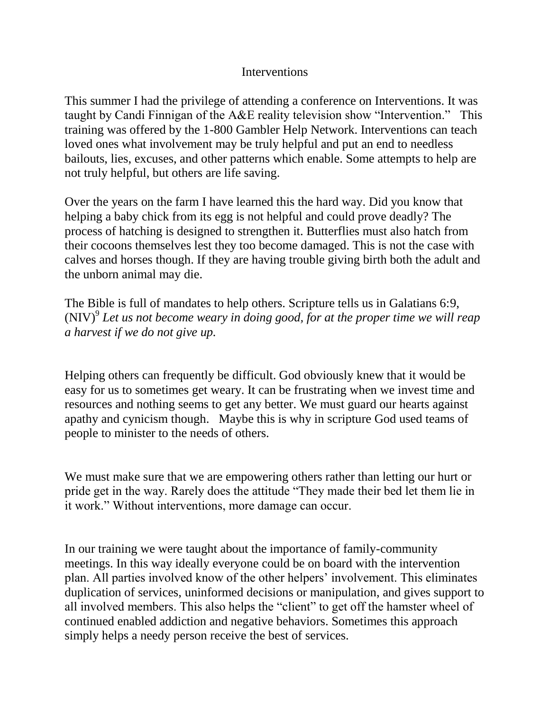## Interventions

This summer I had the privilege of attending a conference on Interventions. It was taught by Candi Finnigan of the A&E reality television show "Intervention." This training was offered by the 1-800 Gambler Help Network. Interventions can teach loved ones what involvement may be truly helpful and put an end to needless bailouts, lies, excuses, and other patterns which enable. Some attempts to help are not truly helpful, but others are life saving.

Over the years on the farm I have learned this the hard way. Did you know that helping a baby chick from its egg is not helpful and could prove deadly? The process of hatching is designed to strengthen it. Butterflies must also hatch from their cocoons themselves lest they too become damaged. This is not the case with calves and horses though. If they are having trouble giving birth both the adult and the unborn animal may die.

The Bible is full of mandates to help others. Scripture tells us in Galatians 6:9,  $(NIV)^9$  Let us not become weary in doing good, for at the proper time we will reap *a harvest if we do not give up.* 

Helping others can frequently be difficult. God obviously knew that it would be easy for us to sometimes get weary. It can be frustrating when we invest time and resources and nothing seems to get any better. We must guard our hearts against apathy and cynicism though. Maybe this is why in scripture God used teams of people to minister to the needs of others.

We must make sure that we are empowering others rather than letting our hurt or pride get in the way. Rarely does the attitude "They made their bed let them lie in it work." Without interventions, more damage can occur.

In our training we were taught about the importance of family-community meetings. In this way ideally everyone could be on board with the intervention plan. All parties involved know of the other helpers' involvement. This eliminates duplication of services, uninformed decisions or manipulation, and gives support to all involved members. This also helps the "client" to get off the hamster wheel of continued enabled addiction and negative behaviors. Sometimes this approach simply helps a needy person receive the best of services.